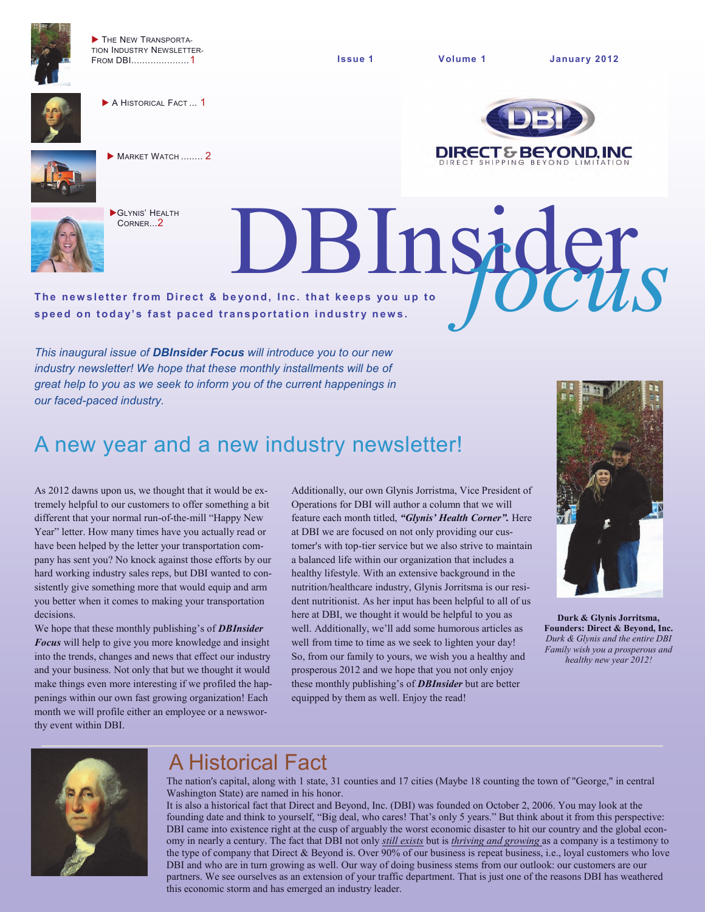

THE NEW TRANSPORTA-TION INDUSTRY NEWSLETTER-FROM DBI.....................1



A HISTORICAL FACT ... 1





**MARKET WATCH ........ 2** 

GLYNIS' HEALTH





The newsletter from Direct & beyond, Inc. that keeps you up to The newsletter from Direct & beyond, Inc. that keeps you up to speed on today's fast paced transportation industry news.

*This inaugural issue of DBInsider Focus will introduce you to our new industry newsletter! We hope that these monthly installments will be of great help to you as we seek to inform you of the current happenings in our faced-paced industry.* 

# A new year and a new industry newsletter!

As 2012 dawns upon us, we thought that it would be extremely helpful to our customers to offer something a bit different that your normal run-of-the-mill "Happy New Year" letter. How many times have you actually read or have been helped by the letter your transportation company has sent you? No knock against those efforts by our hard working industry sales reps, but DBI wanted to consistently give something more that would equip and arm you better when it comes to making your transportation decisions.

We hope that these monthly publishing's of *DBInsider Focus* will help to give you more knowledge and insight into the trends, changes and news that effect our industry and your business. Not only that but we thought it would make things even more interesting if we profiled the happenings within our own fast growing organization! Each month we will profile either an employee or a newsworthy event within DBI.

Additionally, our own Glynis Jorristma, Vice President of Operations for DBI will author a column that we will feature each month titled, *"Glynis' Health Corner".* Here at DBI we are focused on not only providing our customer's with top-tier service but we also strive to maintain a balanced life within our organization that includes a healthy lifestyle. With an extensive background in the nutrition/healthcare industry, Glynis Jorritsma is our resident nutritionist. As her input has been helpful to all of us here at DBI, we thought it would be helpful to you as well. Additionally, we'll add some humorous articles as well from time to time as we seek to lighten your day! So, from our family to yours, we wish you a healthy and prosperous 2012 and we hope that you not only enjoy these monthly publishing's of *DBInsider* but are better equipped by them as well. Enjoy the read!



**Durk & Glynis Jorritsma, Founders: Direct & Beyond, Inc.**  *Durk & Glynis and the entire DBI Family wish you a prosperous and healthy new year 2012!*



# A Historical Fact

The nation's capital, along with 1 state, 31 counties and 17 cities (Maybe 18 counting the town of "George," in central Washington State) are named in his honor.

It is also a historical fact that Direct and Beyond, Inc. (DBI) was founded on October 2, 2006. You may look at the founding date and think to yourself, "Big deal, who cares! That's only 5 years." But think about it from this perspective: DBI came into existence right at the cusp of arguably the worst economic disaster to hit our country and the global economy in nearly a century. The fact that DBI not only *still exists* but is *thriving and growing* as a company is a testimony to the type of company that Direct & Beyond is. Over 90% of our business is repeat business, i.e., loyal customers who love DBI and who are in turn growing as well. Our way of doing business stems from our outlook: our customers are our partners. We see ourselves as an extension of your traffic department. That is just one of the reasons DBI has weathered this economic storm and has emerged an industry leader.